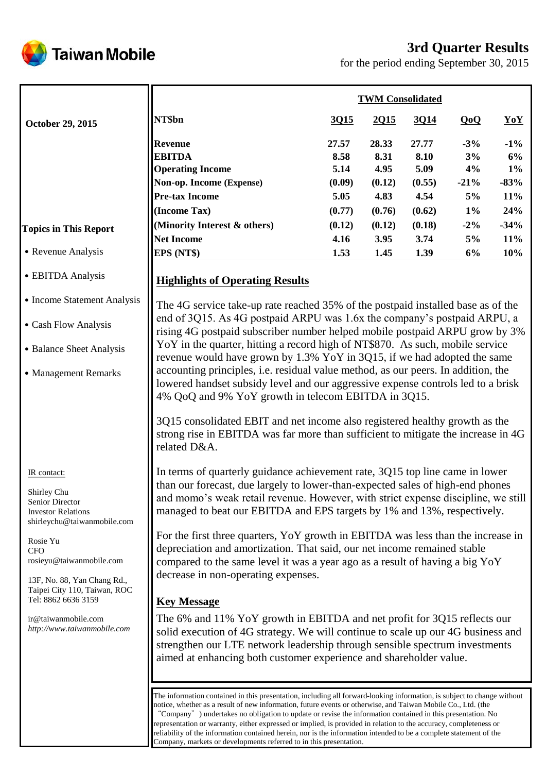# **3rd Quarter Results**



for the period ending September 30, 2015

|                                                                                                           |                                                                                                                                                                                                                                                                                                                                                        |        | <b>TWM Consolidated</b> |        |        |        |  |
|-----------------------------------------------------------------------------------------------------------|--------------------------------------------------------------------------------------------------------------------------------------------------------------------------------------------------------------------------------------------------------------------------------------------------------------------------------------------------------|--------|-------------------------|--------|--------|--------|--|
| October 29, 2015                                                                                          | NT\$bn                                                                                                                                                                                                                                                                                                                                                 | 3Q15   | 2Q15                    | 3014   | QoQ    | YoY    |  |
|                                                                                                           | <b>Revenue</b>                                                                                                                                                                                                                                                                                                                                         | 27.57  | 28.33                   | 27.77  | $-3%$  | $-1\%$ |  |
|                                                                                                           | <b>EBITDA</b>                                                                                                                                                                                                                                                                                                                                          | 8.58   | 8.31                    | 8.10   | 3%     | 6%     |  |
|                                                                                                           | <b>Operating Income</b>                                                                                                                                                                                                                                                                                                                                | 5.14   | 4.95                    | 5.09   | 4%     | $1\%$  |  |
|                                                                                                           | Non-op. Income (Expense)                                                                                                                                                                                                                                                                                                                               | (0.09) | (0.12)                  | (0.55) | $-21%$ | $-83%$ |  |
|                                                                                                           | <b>Pre-tax Income</b>                                                                                                                                                                                                                                                                                                                                  | 5.05   | 4.83                    | 4.54   | 5%     | 11%    |  |
|                                                                                                           | (Income Tax)                                                                                                                                                                                                                                                                                                                                           | (0.77) | (0.76)                  | (0.62) | $1\%$  | 24%    |  |
| <b>Topics in This Report</b>                                                                              | (Minority Interest & others)                                                                                                                                                                                                                                                                                                                           | (0.12) | (0.12)                  | (0.18) | $-2\%$ | $-34%$ |  |
|                                                                                                           | <b>Net Income</b>                                                                                                                                                                                                                                                                                                                                      | 4.16   | 3.95                    | 3.74   | 5%     | 11%    |  |
| • Revenue Analysis                                                                                        | EPS (NT\$)                                                                                                                                                                                                                                                                                                                                             | 1.53   | 1.45                    | 1.39   | 6%     | 10%    |  |
| • EBITDA Analysis                                                                                         | <b>Highlights of Operating Results</b>                                                                                                                                                                                                                                                                                                                 |        |                         |        |        |        |  |
| • Income Statement Analysis                                                                               | The 4G service take-up rate reached 35% of the postpaid installed base as of the                                                                                                                                                                                                                                                                       |        |                         |        |        |        |  |
| • Cash Flow Analysis                                                                                      | end of 3Q15. As 4G postpaid ARPU was 1.6x the company's postpaid ARPU, a<br>rising 4G postpaid subscriber number helped mobile postpaid ARPU grow by 3%                                                                                                                                                                                                |        |                         |        |        |        |  |
| • Balance Sheet Analysis                                                                                  | YoY in the quarter, hitting a record high of NT\$870. As such, mobile service                                                                                                                                                                                                                                                                          |        |                         |        |        |        |  |
| • Management Remarks                                                                                      | revenue would have grown by 1.3% YoY in 3Q15, if we had adopted the same<br>accounting principles, i.e. residual value method, as our peers. In addition, the<br>lowered handset subsidy level and our aggressive expense controls led to a brisk                                                                                                      |        |                         |        |        |        |  |
|                                                                                                           | 4% QoQ and 9% YoY growth in telecom EBITDA in 3Q15.                                                                                                                                                                                                                                                                                                    |        |                         |        |        |        |  |
|                                                                                                           | 3Q15 consolidated EBIT and net income also registered healthy growth as the<br>strong rise in EBITDA was far more than sufficient to mitigate the increase in 4G<br>related D&A.                                                                                                                                                                       |        |                         |        |        |        |  |
| IR contact:<br>Shirley Chu<br>Senior Director<br><b>Investor Relations</b><br>shirleychu@taiwanmobile.com | In terms of quarterly guidance achievement rate, 3Q15 top line came in lower<br>than our forecast, due largely to lower-than-expected sales of high-end phones<br>and momo's weak retail revenue. However, with strict expense discipline, we still<br>managed to beat our EBITDA and EPS targets by 1% and 13%, respectively.                         |        |                         |        |        |        |  |
| Rosie Yu                                                                                                  | For the first three quarters, YoY growth in EBITDA was less than the increase in                                                                                                                                                                                                                                                                       |        |                         |        |        |        |  |
| <b>CFO</b><br>rosieyu@taiwanmobile.com                                                                    | depreciation and amortization. That said, our net income remained stable<br>compared to the same level it was a year ago as a result of having a big YoY                                                                                                                                                                                               |        |                         |        |        |        |  |
| 13F, No. 88, Yan Chang Rd.,<br>Taipei City 110, Taiwan, ROC                                               | decrease in non-operating expenses.                                                                                                                                                                                                                                                                                                                    |        |                         |        |        |        |  |
| Tel: 8862 6636 3159                                                                                       | <b>Key Message</b>                                                                                                                                                                                                                                                                                                                                     |        |                         |        |        |        |  |
| ir@taiwanmobile.com<br>http://www.taiwanmobile.com                                                        | The 6% and 11% YoY growth in EBITDA and net profit for 3Q15 reflects our<br>solid execution of 4G strategy. We will continue to scale up our 4G business and<br>strengthen our LTE network leadership through sensible spectrum investments                                                                                                            |        |                         |        |        |        |  |
|                                                                                                           | aimed at enhancing both customer experience and shareholder value.<br>The information contained in this presentation, including all forward-looking information, is subject to change without<br>notice, whether as a result of new information, future events or otherwise, and Taiwan Mobile Co., Ltd. (the                                          |        |                         |        |        |        |  |
|                                                                                                           | "Company" ) undertakes no obligation to update or revise the information contained in this presentation. No<br>representation or warranty, either expressed or implied, is provided in relation to the accuracy, completeness or<br>reliability of the information contained herein, nor is the information intended to be a complete statement of the |        |                         |        |        |        |  |

Company, markets or developments referred to in this presentation.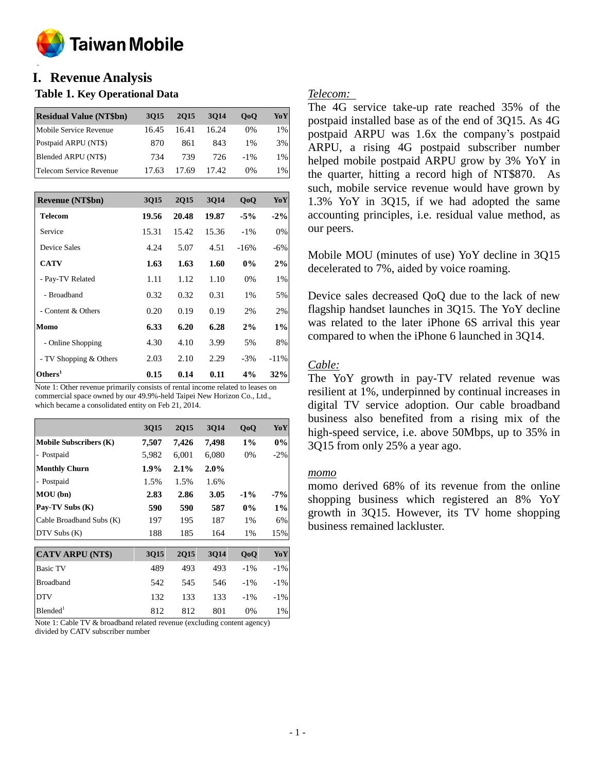

#### **o I. Revenue Analysis**

### **Table 1. Key Operational Data**

| <b>Residual Value (NT\$bn)</b> | 3015  | 2015  | 3014  | 0 <sub>0</sub> | YoY   |
|--------------------------------|-------|-------|-------|----------------|-------|
| Mobile Service Revenue         | 16.45 | 16.41 | 16.24 | 0%             | 1%    |
| Postpaid ARPU (NT\$)           | 870   | 861   | 843   | $1\%$          | 3%    |
| Blended ARPU (NT\$)            | 734   | 739   | 726   | $-1\%$         | $1\%$ |
| Telecom Service Revenue        | 17.63 | 17.69 | 17.42 | 0%             | $1\%$ |

| <b>Revenue (NT\$bn)</b> | 3015  | <b>2Q15</b> | 3Q14  | QoQ    | YoY    |
|-------------------------|-------|-------------|-------|--------|--------|
| Telecom                 | 19.56 | 20.48       | 19.87 | $-5%$  | $-2\%$ |
| Service                 | 15.31 | 15.42       | 15.36 | $-1\%$ | 0%     |
| Device Sales            | 4.24  | 5.07        | 4.51  | $-16%$ | $-6%$  |
| <b>CATV</b>             | 1.63  | 1.63        | 1.60  | $0\%$  | 2%     |
| - Pay-TV Related        | 1.11  | 1.12        | 1.10  | 0%     | $1\%$  |
| - Broadband             | 0.32  | 0.32        | 0.31  | 1%     | 5%     |
| - Content & Others      | 0.20  | 0.19        | 0.19  | 2%     | 2%     |
| Momo                    | 6.33  | 6.20        | 6.28  | 2%     | $1\%$  |
| - Online Shopping       | 4.30  | 4.10        | 3.99  | 5%     | 8%     |
| - TV Shopping & Others  | 2.03  | 2.10        | 2.29  | $-3\%$ | $-11%$ |
| Others <sup>1</sup>     | 0.15  | 0.14        | 0.11  | 4%     | 32%    |

Note 1: Other revenue primarily consists of rental income related to leases on commercial space owned by our 49.9%-held Taipei New Horizon Co., Ltd., which became a consolidated entity on Feb 21, 2014.

|                               | <b>3Q15</b> | <b>2Q15</b> | 3014  | QoQ    | YoY    |
|-------------------------------|-------------|-------------|-------|--------|--------|
| <b>Mobile Subscribers (K)</b> | 7,507       | 7,426       | 7,498 | $1\%$  | $0\%$  |
| - Postpaid                    | 5,982       | 6,001       | 6,080 | 0%     | $-2\%$ |
| <b>Monthly Churn</b>          | $1.9\%$     | 2.1%        | 2.0%  |        |        |
| - Postpaid                    | 1.5%        | 1.5%        | 1.6%  |        |        |
| MOU (bn)                      | 2.83        | 2.86        | 3.05  | $-1\%$ | $-7\%$ |
| Pay-TV Subs (K)               | 590         | 590         | 587   | $0\%$  | $1\%$  |
| Cable Broadband Subs (K)      | 197         | 195         | 187   | $1\%$  | 6%     |
| DTV Subs (K)                  | 188         | 185         | 164   | $1\%$  | 15%    |
| <b>CATV ARPU (NT\$)</b>       | <b>3Q15</b> | <b>2Q15</b> | 3Q14  | QoQ    | YoY    |
| <b>Basic TV</b>               | 489         | 493         | 493   | $-1\%$ | $-1\%$ |
| <b>Broadband</b>              | 542         | 545         | 546   | $-1\%$ | $-1\%$ |
| <b>DTV</b>                    | 132         | 133         | 133   | $-1\%$ | $-1\%$ |
| Blended <sup>1</sup>          | 812         | 812         | 801   | $0\%$  | $1\%$  |

Note 1: Cable TV & broadband related revenue (excluding content agency) divided by CATV subscriber number

### *Telecom:*

The 4G service take-up rate reached 35% of the postpaid installed base as of the end of 3Q15. As 4G postpaid ARPU was 1.6x the company's postpaid ARPU, a rising 4G postpaid subscriber number helped mobile postpaid ARPU grow by 3% YoY in the quarter, hitting a record high of NT\$870. As such, mobile service revenue would have grown by 1.3% YoY in 3Q15, if we had adopted the same accounting principles, i.e. residual value method, as our peers.

Mobile MOU (minutes of use) YoY decline in 3Q15 decelerated to 7%, aided by voice roaming.

Device sales decreased QoQ due to the lack of new flagship handset launches in 3Q15. The YoY decline was related to the later iPhone 6S arrival this year compared to when the iPhone 6 launched in 3Q14.

### *Cable:*

The YoY growth in pay-TV related revenue was resilient at 1%, underpinned by continual increases in digital TV service adoption. Our cable broadband business also benefited from a rising mix of the high-speed service, i.e. above 50Mbps, up to 35% in 3Q15 from only 25% a year ago.

### *momo*

momo derived 68% of its revenue from the online shopping business which registered an 8% YoY growth in 3Q15. However, its TV home shopping business remained lackluster.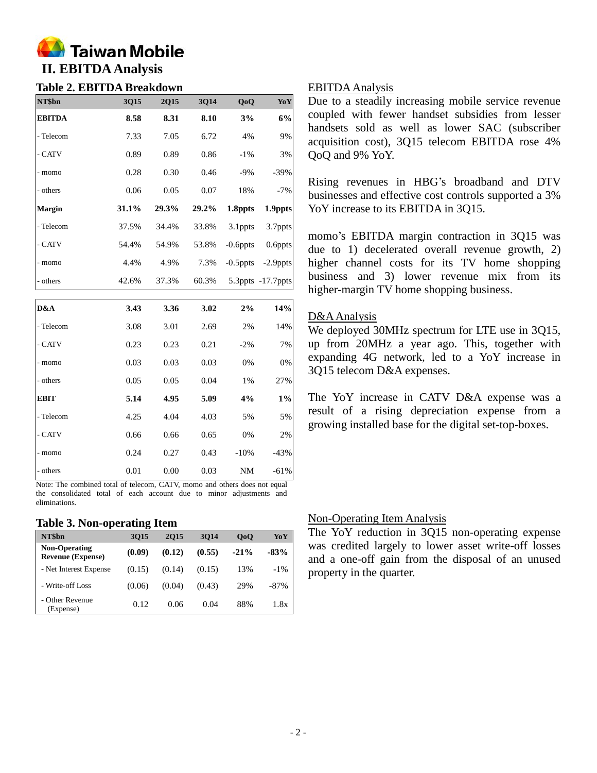

# **Table 2. EBITDA Breakdown**

| NT\$bn        | 3Q15  | 2Q15  | 3Q14  | QoQ         | YoY               |
|---------------|-------|-------|-------|-------------|-------------------|
| <b>EBITDA</b> | 8.58  | 8.31  | 8.10  | 3%          | 6%                |
| - Telecom     | 7.33  | 7.05  | 6.72  | 4%          | 9%                |
| - CATV        | 0.89  | 0.89  | 0.86  | $-1\%$      | 3%                |
| - momo        | 0.28  | 0.30  | 0.46  | $-9\%$      | $-39%$            |
| - others      | 0.06  | 0.05  | 0.07  | 18%         | $-7%$             |
| <b>Margin</b> | 31.1% | 29.3% | 29.2% | 1.8ppts     | 1.9ppts           |
| - Telecom     | 37.5% | 34.4% | 33.8% | 3.1ppts     | 3.7ppts           |
| - CATV        | 54.4% | 54.9% | 53.8% | $-0.6$ ppts | 0.6ppts           |
| - momo        | 4.4%  | 4.9%  | 7.3%  | $-0.5$ ppts | $-2.9$ ppts       |
| - others      | 42.6% | 37.3% | 60.3% |             | 5.3ppts -17.7ppts |
|               |       |       |       |             |                   |
| D&A           | 3.43  | 3.36  | 3.02  | 2%          | 14%               |
| - Telecom     | 3.08  | 3.01  | 2.69  | 2%          | 14%               |
| - CATV        | 0.23  | 0.23  | 0.21  | $-2\%$      | 7%                |

- others 0.01 0.00 0.03 NM -61% Note: The combined total of telecom, CATV, momo and others does not equal the consolidated total of each account due to minor adjustments and eliminations.

- momo 0.03 0.03 0.03 0% 0% - others 0.05 0.05 0.04 1% 27% **EBIT 5.14 4.95 5.09 4% 1%** - Telecom 4.25 4.04 4.03 5% 5% - CATV 0.66 0.66 0.65 0% 2% - momo 0.24 0.27 0.43 -10% -43%

#### **Table 3. Non-operating Item**

| NT\$bn                                           | 3015   | <b>2015</b> | 3014   | 0 <sub>0</sub> | YoY     |
|--------------------------------------------------|--------|-------------|--------|----------------|---------|
| <b>Non-Operating</b><br><b>Revenue (Expense)</b> | (0.09) | (0.12)      | (0.55) | $-21\%$        | $-83%$  |
| - Net Interest Expense                           | (0.15) | (0.14)      | (0.15) | 13%            | $-1\%$  |
| - Write-off Loss                                 | (0.06) | (0.04)      | (0.43) | 29%            | $-87\%$ |
| - Other Revenue<br>(Expense)                     | 0.12   | 0.06        | 0.04   | 88%            | 1.8x    |

### EBITDA Analysis

Due to a steadily increasing mobile service revenue coupled with fewer handset subsidies from lesser handsets sold as well as lower SAC (subscriber acquisition cost), 3Q15 telecom EBITDA rose 4% QoQ and 9% YoY.

Rising revenues in HBG's broadband and DTV businesses and effective cost controls supported a 3% YoY increase to its EBITDA in 3Q15.

momo's EBITDA margin contraction in 3Q15 was due to 1) decelerated overall revenue growth, 2) higher channel costs for its TV home shopping business and 3) lower revenue mix from its higher-margin TV home shopping business.

### D&AAnalysis

We deployed 30MHz spectrum for LTE use in 3Q15, up from 20MHz a year ago. This, together with expanding 4G network, led to a YoY increase in 3Q15 telecom D&A expenses.

The YoY increase in CATV D&A expense was a result of a rising depreciation expense from a growing installed base for the digital set-top-boxes.

### Non-Operating Item Analysis

The YoY reduction in 3Q15 non-operating expense was credited largely to lower asset write-off losses and a one-off gain from the disposal of an unused property in the quarter.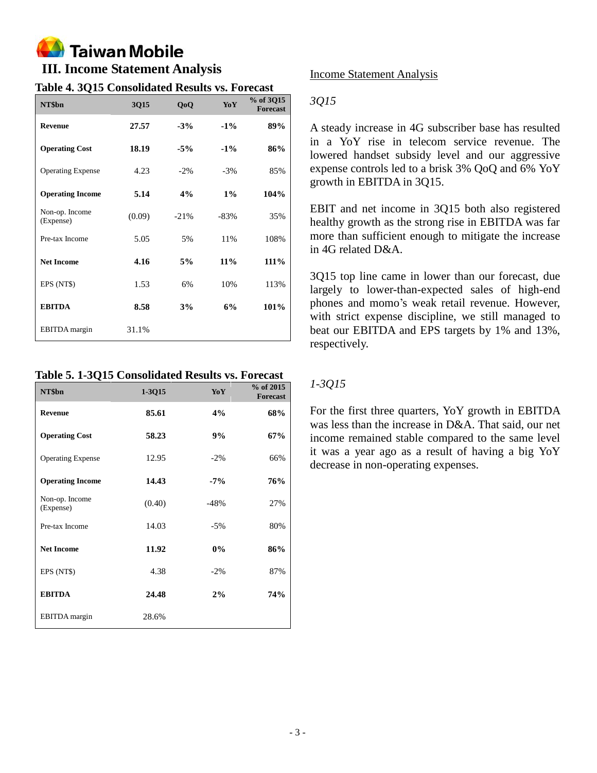# **Taiwan Mobile**

### **III. Income Statement Analysis**

### **Table 4. 3Q15 Consolidated Results vs. Forecast**

| NT\$bn                      | 3Q15   | QoQ    | YoY    | % of 3Q15<br><b>Forecast</b> |
|-----------------------------|--------|--------|--------|------------------------------|
| <b>Revenue</b>              | 27.57  | $-3%$  | $-1\%$ | 89%                          |
| <b>Operating Cost</b>       | 18.19  | $-5%$  | $-1\%$ | 86%                          |
| <b>Operating Expense</b>    | 4.23   | $-2\%$ | $-3%$  | 85%                          |
| <b>Operating Income</b>     | 5.14   | 4%     | $1\%$  | 104%                         |
| Non-op. Income<br>(Expense) | (0.09) | $-21%$ | $-83%$ | 35%                          |
| Pre-tax Income              | 5.05   | 5%     | 11%    | 108%                         |
| <b>Net Income</b>           | 4.16   | 5%     | 11%    | 111%                         |
| EPS (NT\$)                  | 1.53   | 6%     | 10%    | 113%                         |
| <b>EBITDA</b>               | 8.58   | 3%     | 6%     | 101%                         |
| <b>EBITDA</b> margin        | 31.1%  |        |        |                              |

### **Table 5. 1-3Q15 Consolidated Results vs. Forecast**

| NT\$bn                      | 1-3Q15 | YoY    | $%$ of 2015<br><b>Forecast</b> |
|-----------------------------|--------|--------|--------------------------------|
| <b>Revenue</b>              | 85.61  | 4%     | 68%                            |
| <b>Operating Cost</b>       | 58.23  | 9%     | 67%                            |
| <b>Operating Expense</b>    | 12.95  | $-2\%$ | 66%                            |
| <b>Operating Income</b>     | 14.43  | $-7%$  | 76%                            |
| Non-op. Income<br>(Expense) | (0.40) | $-48%$ | 27%                            |
| Pre-tax Income              | 14.03  | $-5%$  | 80%                            |
| <b>Net Income</b>           | 11.92  | $0\%$  | 86%                            |
| EPS (NT\$)                  | 4.38   | $-2\%$ | 87%                            |
| <b>EBITDA</b>               | 24.48  | 2%     | 74%                            |
| <b>EBITDA</b> margin        | 28.6%  |        |                                |

### Income Statement Analysis

### *3Q15*

A steady increase in 4G subscriber base has resulted in a YoY rise in telecom service revenue. The lowered handset subsidy level and our aggressive expense controls led to a brisk 3% QoQ and 6% YoY growth in EBITDA in 3Q15.

EBIT and net income in 3Q15 both also registered healthy growth as the strong rise in EBITDA was far more than sufficient enough to mitigate the increase in 4G related D&A.

3Q15 top line came in lower than our forecast, due largely to lower-than-expected sales of high-end phones and momo's weak retail revenue. However, with strict expense discipline, we still managed to beat our EBITDA and EPS targets by 1% and 13%, respectively.

### *1-3Q15*

For the first three quarters, YoY growth in EBITDA was less than the increase in D&A. That said, our net income remained stable compared to the same level it was a year ago as a result of having a big YoY decrease in non-operating expenses.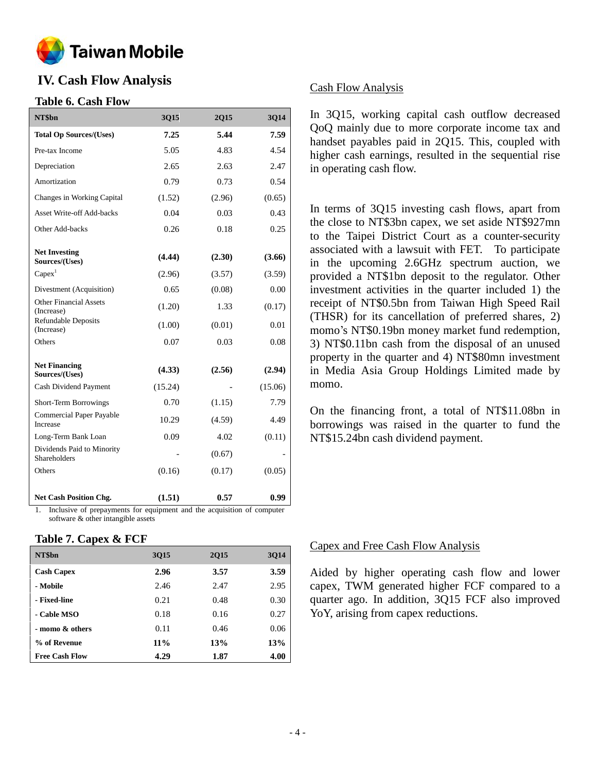

### **IV. Cash Flow Analysis**

### **Table 6. Cash Flow**

| NT\$bn                                                                                  | 3Q15        | 2Q15       | 3Q14    |
|-----------------------------------------------------------------------------------------|-------------|------------|---------|
| <b>Total Op Sources/(Uses)</b>                                                          | 7.25        | 5.44       | 7.59    |
| Pre-tax Income                                                                          | 5.05        | 4.83       | 4.54    |
| Depreciation                                                                            | 2.65        | 2.63       | 2.47    |
| Amortization                                                                            | 0.79        | 0.73       | 0.54    |
| Changes in Working Capital                                                              | (1.52)      | (2.96)     | (0.65)  |
| <b>Asset Write-off Add-backs</b>                                                        | 0.04        | 0.03       | 0.43    |
| Other Add-backs                                                                         | 0.26        | 0.18       | 0.25    |
| <b>Net Investing</b><br>Sources/(Uses)                                                  | (4.44)      | (2.30)     | (3.66)  |
| Capex <sup>1</sup>                                                                      | (2.96)      | (3.57)     | (3.59)  |
| Divestment (Acquisition)                                                                | 0.65        | (0.08)     | 0.00    |
| <b>Other Financial Assets</b><br>(Increase)                                             | (1.20)      | 1.33       | (0.17)  |
| <b>Refundable Deposits</b><br>(Increase)                                                | (1.00)      | (0.01)     | 0.01    |
| Others                                                                                  | 0.07        | 0.03       | 0.08    |
| <b>Net Financing</b><br>Sources/(Uses)                                                  | (4.33)      | (2.56)     | (2.94)  |
| Cash Dividend Payment                                                                   | (15.24)     |            | (15.06) |
| Short-Term Borrowings                                                                   | 0.70        | (1.15)     | 7.79    |
| Commercial Paper Payable<br>Increase                                                    | 10.29       | (4.59)     | 4.49    |
| Long-Term Bank Loan                                                                     | 0.09        | 4.02       | (0.11)  |
| Dividends Paid to Minority<br><b>Shareholders</b>                                       |             | (0.67)     |         |
| Others                                                                                  | (0.16)      | (0.17)     | (0.05)  |
| <b>Net Cash Position Chg.</b><br>$T_{\text{tot}} = T_{\text{tot}} = T_{\text{tot}} = T$ | (1.51)<br>c | 0.57<br>ă. | 0.99    |

1. Inclusive of prepayments for equipment and the acquisition of computer software & other intangible assets

### **Table 7. Capex & FCF**

| NT\$bn                | 3015   | <b>2Q15</b> | 3Q14 |
|-----------------------|--------|-------------|------|
| <b>Cash Capex</b>     | 2.96   | 3.57        | 3.59 |
| - Mobile              | 2.46   | 2.47        | 2.95 |
| - Fixed-line          | 0.21   | 0.48        | 0.30 |
| - Cable MSO           | 0.18   | 0.16        | 0.27 |
| - momo & others       | 0.11   | 0.46        | 0.06 |
| % of Revenue          | $11\%$ | 13%         | 13%  |
| <b>Free Cash Flow</b> | 4.29   | 1.87        | 4.00 |

### Cash Flow Analysis

In 3Q15, working capital cash outflow decreased QoQ mainly due to more corporate income tax and handset payables paid in 2Q15. This, coupled with higher cash earnings, resulted in the sequential rise in operating cash flow.

In terms of 3Q15 investing cash flows, apart from the close to NT\$3bn capex, we set aside NT\$927mn to the Taipei District Court as a counter-security associated with a lawsuit with FET. To participate in the upcoming 2.6GHz spectrum auction, we provided a NT\$1bn deposit to the regulator. Other investment activities in the quarter included 1) the receipt of NT\$0.5bn from Taiwan High Speed Rail (THSR) for its cancellation of preferred shares, 2) momo's NT\$0.19bn money market fund redemption, 3) NT\$0.11bn cash from the disposal of an unused property in the quarter and 4) NT\$80mn investment in Media Asia Group Holdings Limited made by momo.

On the financing front, a total of NT\$11.08bn in borrowings was raised in the quarter to fund the NT\$15.24bn cash dividend payment.

### Capex and Free Cash Flow Analysis

Aided by higher operating cash flow and lower capex, TWM generated higher FCF compared to a quarter ago. In addition, 3Q15 FCF also improved YoY, arising from capex reductions.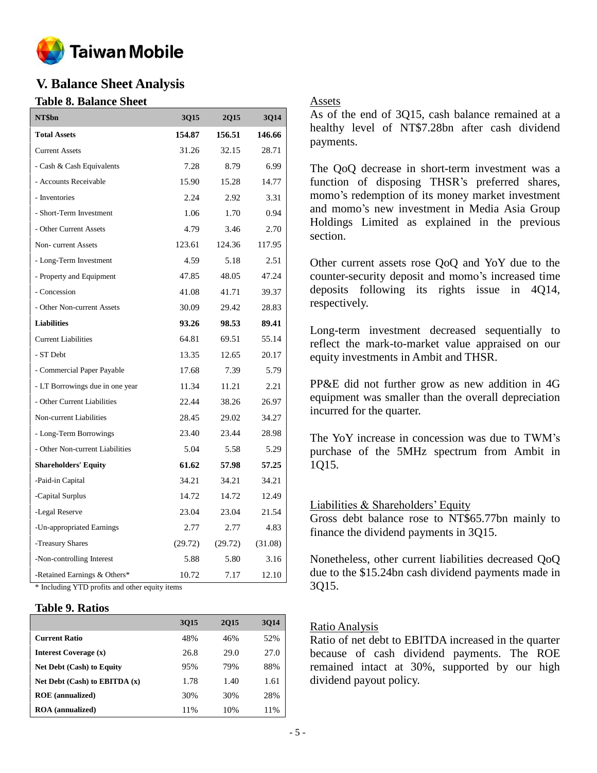

### **V. Balance Sheet Analysis**

### **Table 8. Balance Sheet**

| NT\$bn                          | <b>3Q15</b> | <b>2Q15</b> | <b>3Q14</b> |
|---------------------------------|-------------|-------------|-------------|
| <b>Total Assets</b>             | 154.87      | 156.51      | 146.66      |
| <b>Current Assets</b>           | 31.26       | 32.15       | 28.71       |
| - Cash & Cash Equivalents       | 7.28        | 8.79        | 6.99        |
| - Accounts Receivable           | 15.90       | 15.28       | 14.77       |
| - Inventories                   | 2.24        | 2.92        | 3.31        |
| - Short-Term Investment         | 1.06        | 1.70        | 0.94        |
| - Other Current Assets          | 4.79        | 3.46        | 2.70        |
| Non-current Assets              | 123.61      | 124.36      | 117.95      |
| - Long-Term Investment          | 4.59        | 5.18        | 2.51        |
| - Property and Equipment        | 47.85       | 48.05       | 47.24       |
| - Concession                    | 41.08       | 41.71       | 39.37       |
| - Other Non-current Assets      | 30.09       | 29.42       | 28.83       |
| <b>Liabilities</b>              | 93.26       | 98.53       | 89.41       |
| <b>Current Liabilities</b>      | 64.81       | 69.51       | 55.14       |
| - ST Debt                       | 13.35       | 12.65       | 20.17       |
| - Commercial Paper Payable      | 17.68       | 7.39        | 5.79        |
| - LT Borrowings due in one year | 11.34       | 11.21       | 2.21        |
| - Other Current Liabilities     | 22.44       | 38.26       | 26.97       |
| Non-current Liabilities         | 28.45       | 29.02       | 34.27       |
| - Long-Term Borrowings          | 23.40       | 23.44       | 28.98       |
| - Other Non-current Liabilities | 5.04        | 5.58        | 5.29        |
| <b>Shareholders' Equity</b>     | 61.62       | 57.98       | 57.25       |
| -Paid-in Capital                | 34.21       | 34.21       | 34.21       |
| -Capital Surplus                | 14.72       | 14.72       | 12.49       |
| -Legal Reserve                  | 23.04       | 23.04       | 21.54       |
| -Un-appropriated Earnings       | 2.77        | 2.77        | 4.83        |
| -Treasury Shares                | (29.72)     | (29.72)     | (31.08)     |
| -Non-controlling Interest       | 5.88        | 5.80        | 3.16        |
| -Retained Earnings & Others*    | 10.72       | 7.17        | 12.10       |

\* Including YTD profits and other equity items

### **Table 9. Ratios**

|                                   | <b>3Q15</b> | <b>2015</b> | 3014 |
|-----------------------------------|-------------|-------------|------|
| <b>Current Ratio</b>              | 48%         | 46%         | 52%  |
| <b>Interest Coverage (x)</b>      | 26.8        | 29.0        | 27.0 |
| <b>Net Debt (Cash) to Equity</b>  | 95%         | 79%         | 88%  |
| Net Debt $(Cash)$ to EBITDA $(x)$ | 1.78        | 1.40        | 1.61 |
| <b>ROE</b> (annualized)           | 30%         | 30%         | 28%  |
| <b>ROA</b> (annualized)           | 11%         | 10%         | 11%  |

### Assets

As of the end of 3Q15, cash balance remained at a healthy level of NT\$7.28bn after cash dividend payments.

The QoQ decrease in short-term investment was a function of disposing THSR's preferred shares, momo's redemption of its money market investment and momo's new investment in Media Asia Group Holdings Limited as explained in the previous section.

Other current assets rose QoQ and YoY due to the counter-security deposit and momo's increased time deposits following its rights issue in 4Q14, respectively.

Long-term investment decreased sequentially to reflect the mark-to-market value appraised on our equity investments in Ambit and THSR.

PP&E did not further grow as new addition in 4G equipment was smaller than the overall depreciation incurred for the quarter.

The YoY increase in concession was due to TWM's purchase of the 5MHz spectrum from Ambit in 1Q15.

### Liabilities & Shareholders' Equity

Gross debt balance rose to NT\$65.77bn mainly to finance the dividend payments in 3Q15.

Nonetheless, other current liabilities decreased QoQ due to the \$15.24bn cash dividend payments made in 3Q15.

### Ratio Analysis

Ratio of net debt to EBITDA increased in the quarter because of cash dividend payments. The ROE remained intact at 30%, supported by our high dividend payout policy.